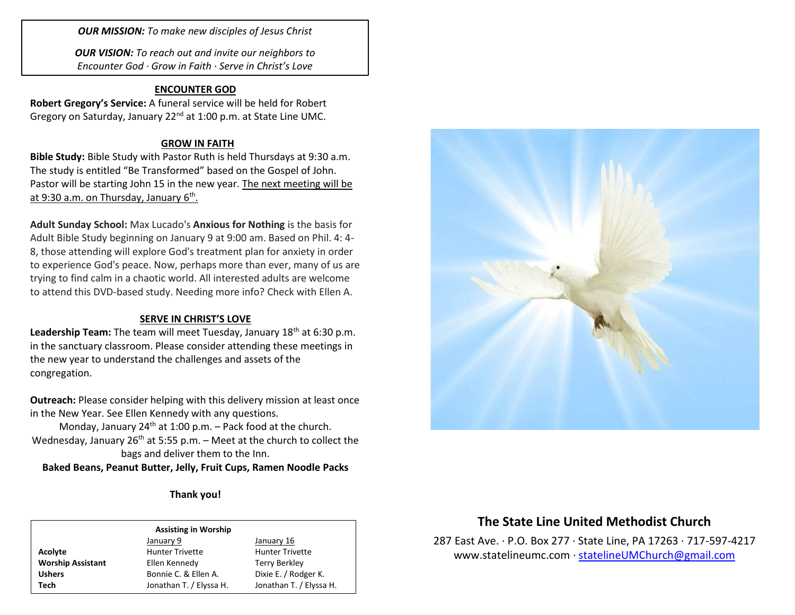*OUR MISSION: To make new disciples of Jesus Christ*

*OUR VISION: To reach out and invite our neighbors to Encounter God · Grow in Faith · Serve in Christ's Love*

## **ENCOUNTER GOD**

**Robert Gregory's Service:** A funeral service will be held for Robert Gregory on Saturday, January 22<sup>nd</sup> at 1:00 p.m. at State Line UMC.

## **GROW IN FAITH**

**Bible Study:** Bible Study with Pastor Ruth is held Thursdays at 9:30 a.m. The study is entitled "Be Transformed" based on the Gospel of John. Pastor will be starting John 15 in the new year. The next meeting will be at 9:30 a.m. on Thursday, January 6<sup>th</sup>.

**Adult Sunday School:** Max Lucado's **Anxious for Nothing** is the basis for Adult Bible Study beginning on January 9 at 9:00 am. Based on Phil. 4: 4- 8, those attending will explore God's treatment plan for anxiety in order to experience God's peace. Now, perhaps more than ever, many of us are trying to find calm in a chaotic world. All interested adults are welcome to attend this DVD-based study. Needing more info? Check with Ellen A.

## **SERVE IN CHRIST'S LOVE**

Leadership Team: The team will meet Tuesday, January 18<sup>th</sup> at 6:30 p.m. in the sanctuary classroom. Please consider attending these meetings in the new year to understand the challenges and assets of the congregation.

**Outreach:** Please consider helping with this delivery mission at least once in the New Year. See Ellen Kennedy with any questions.

Monday, January 24<sup>th</sup> at 1:00 p.m. – Pack food at the church. Wednesday, January 26<sup>th</sup> at 5:55 p.m. – Meet at the church to collect the bags and deliver them to the Inn.

**Baked Beans, Peanut Butter, Jelly, Fruit Cups, Ramen Noodle Packs**

**Thank you!**

#### **Assisting in Worship**

|                          | January 9               | January 16              |
|--------------------------|-------------------------|-------------------------|
| Acolyte                  | <b>Hunter Trivette</b>  | <b>Hunter Trivette</b>  |
| <b>Worship Assistant</b> | Ellen Kennedy           | Terry Berkley           |
| <b>Ushers</b>            | Bonnie C. & Ellen A.    | Dixie E. / Rodger K.    |
| Tech                     | Jonathan T. / Elyssa H. | Jonathan T. / Elyssa H. |



# **The State Line United Methodist Church**

287 East Ave. · P.O. Box 277 · State Line, PA 17263 · 717-597-4217 [www.statelineumc.com](http://www.statelineumc.com/) · [statelineUMChurch@gmail.com](mailto:statelineUMChurch@gmail.com)